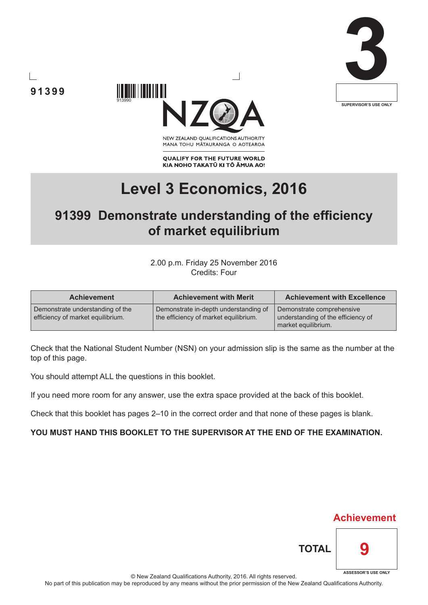





NEW ZEALAND OUALIFICATIONS AUTHORITY MANA TOHU MATAURANGA O AOTEAROA

**QUALIFY FOR THE FUTURE WORLD** KIA NOHO TAKATŪ KI TŌ ĀMUA AO!

# **Level 3 Economics, 2016**

## **91399 Demonstrate understanding of the efficiency of market equilibrium**

2.00 p.m. Friday 25 November 2016 Credits: Four

| <b>Achievement</b>                                                    | <b>Achievement with Merit</b>                                                  | <b>Achievement with Excellence</b>                                                     |
|-----------------------------------------------------------------------|--------------------------------------------------------------------------------|----------------------------------------------------------------------------------------|
| Demonstrate understanding of the<br>efficiency of market equilibrium. | Demonstrate in-depth understanding of<br>the efficiency of market equilibrium. | Demonstrate comprehensive<br>understanding of the efficiency of<br>market equilibrium. |

Check that the National Student Number (NSN) on your admission slip is the same as the number at the top of this page.

You should attempt ALL the questions in this booklet.

If you need more room for any answer, use the extra space provided at the back of this booklet.

Check that this booklet has pages 2–10 in the correct order and that none of these pages is blank.

#### **YOU MUST HAND THIS BOOKLET TO THE SUPERVISOR AT THE END OF THE EXAMINATION.**



© New Zealand Qualifications Authority, 2016. All rights reserved.

No part of this publication may be reproduced by any means without the prior permission of the New Zealand Qualifications Authority.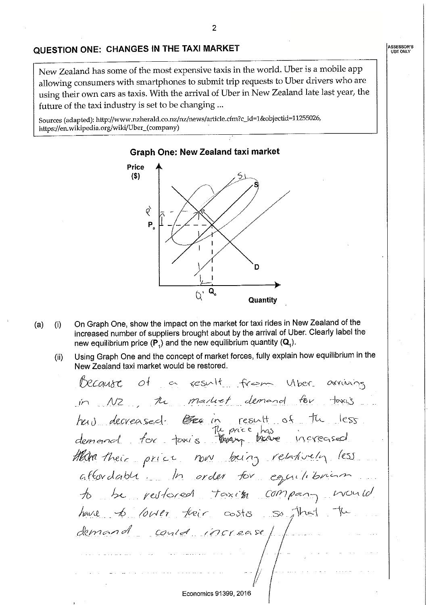#### QUESTION ONE: CHANGES IN THE TAXI MARKET

New Zealand has some of the most expensive taxis in the world. Uber is a mobile app allowing consumers with smartphones to submit trip requests to Uber drivers who are using their own cars as taxis. With the arrival of Uber in New Zealand late last year, the future of the taxi industry is set to be changing ...

Sources (adapted): http://www.nzherald.co.nz/nz/news/article.cfm?c\_id=1&objectid=11255026, https://en.wikipedia.org/wiki/Uber\_(company)



- On Graph One, show the impact on the market for taxi rides in New Zealand of the  $(i)$  $(a)$ increased number of suppliers brought about by the arrival of Uber. Clearly label the new equilibrium price  $(P_4)$  and the new equilibrium quantity  $(Q_4)$ .
	- Using Graph One and the concept of market forces, fully explain how equilibrium in the  $(ii)$ New Zealand taxi market would be restored.

Decause  $\varphi$ ł a result from Uber arriving in NZ, the market demand for toxis hero decreased. Bee in result of the less demand for taxis through have increased Man their price now being relatively less affordable. In order for equilibrium to be restored taxing company would have to lower their costs so That. demand could increase Economics 91399, 2016

**ASSESSOR'S<br>USE ONLY**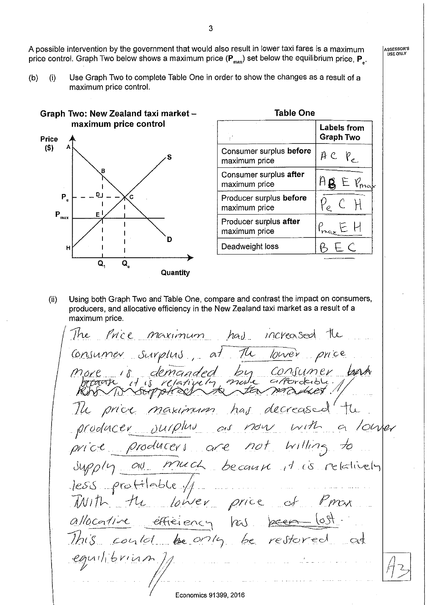A possible intervention by the government that would also result in lower taxi fares is a maximum price control. Graph Two below shows a maximum price  $(P_{max})$  set below the equilibrium price,  $P_{s}$ .

Use Graph Two to complete Table One in order to show the changes as a result of a  $(b)$  $(i)$ maximum price control.



| <b>Table One</b>                         |                                        |
|------------------------------------------|----------------------------------------|
|                                          | <b>Labels from</b><br><b>Graph Two</b> |
| Consumer surplus before<br>maximum price | ACP                                    |
| Consumer surplus after<br>maximum price  |                                        |
| Producer surplus before<br>maximum price |                                        |
| Producer surplus after<br>maximum price  |                                        |
| Deadweight loss                          |                                        |

 $(ii)$ Using both Graph Two and Table One, compare and contrast the impact on consumers, producers, and allocative efficiency in the New Zealand taxi market as a result of a maximum price.

The Price movement had increased the Consumer surplus, at the lower price<br>more is demanded by Consumer band The price maximum has decreased the production of the production of the production of the production of the production of the production of the production of the line supply on much become it is relatively<br>less protitable of price of Pmax allocative efficiency has been lost. This could be only be restored at equilibrium y Economics 91399, 2016

3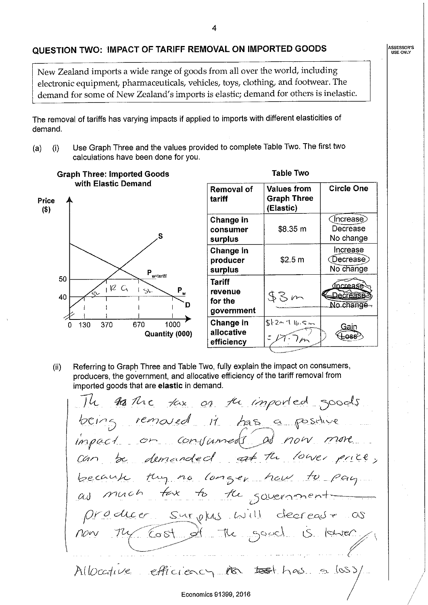#### QUESTION TWO: IMPACT OF TARIFF REMOVAL ON IMPORTED GOODS

New Zealand imports a wide range of goods from all over the world, including electronic equipment, pharmaceuticals, vehicles, toys, clothing, and footwear. The demand for some of New Zealand's imports is elastic; demand for others is inelastic.

The removal of tariffs has varying impacts if applied to imports with different elasticities of demand.

Use Graph Three and the values provided to complete Table Two. The first two  $(a)$  $(i)$ calculations have been done for you.

**Table Two Graph Three: Imported Goods** with Elastic Demand **Removal of Values from Circle One** tariff **Graph Three** Price (Elastic)  $(S)$ (Increase) Change in consumer  $$8.35 m$ Decrease S No change surplus Increase Change in (Decrease)  $$2.5 m$ producer No change surplus  $\mathsf{P}_{\underline{\mathsf{w}}\text{-}\mathsf{tariff}}$ 50 **Tariff** dncrease  $RG$ revenue Decrease 53m 40 for the No change government  $812 - 116.5$ Change in 1000 670  $\mathbf 0$ 130 370 Gain allocative Quantity (000) Hose> efficiency

Referring to Graph Three and Table Two, fully explain the impact on consumers,  $(ii)$ producers, the government, and allocative efficiency of the tariff removal from imported goods that are elastic in demand.

The take the or the imported goods being removed it has a positive can be demanded at the lower price, because they no longer have to pay as much fax to the sovernment producer surplus will decrease as now ty cost of the sand is lower Allocature efficiency not tool has a loss/

 $\overline{4}$ 

**ASSESSOR'S**<br>USE ONLY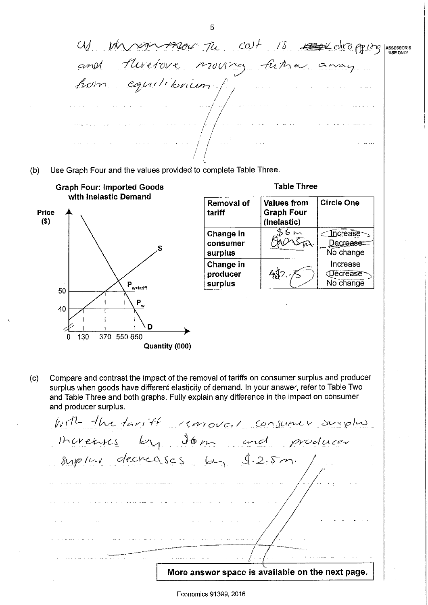as where mor the cost is the dropping ASSESSOR'S<br>USE ONLY and fliretoire moving future away equilibrium. hom

5

Use Graph Four and the values provided to complete Table Three.  $(b)$ 



| <b>Table Three</b>               |                                                        |                                          |
|----------------------------------|--------------------------------------------------------|------------------------------------------|
| Removal of<br>tariff             | <b>Values from</b><br><b>Graph Four</b><br>(Inelastic) | <b>Circle One</b>                        |
| Change in<br>consumer<br>surplus | 36m                                                    | <b>Increase</b><br>)ecrease<br>No change |
| Change in<br>producer<br>surplus | 场2                                                     | Increase<br>Decrease<br>No change        |

Compare and contrast the impact of the removal of tariffs on consumer surplus and producer  $(c)$ surplus when goods have different elasticity of demand. In your answer, refer to Table Two and Table Three and both graphs. Fully explain any difference in the impact on consumer and producer surplus.

| With the tariff conoval consumer sur |  |                                                  |
|--------------------------------------|--|--------------------------------------------------|
| Theretiks by Jon and producer        |  |                                                  |
| suplus decreases by J.2.5m./         |  |                                                  |
|                                      |  |                                                  |
|                                      |  |                                                  |
|                                      |  |                                                  |
|                                      |  |                                                  |
|                                      |  |                                                  |
|                                      |  | More answer space is available on the next page. |

Economics 91399, 2016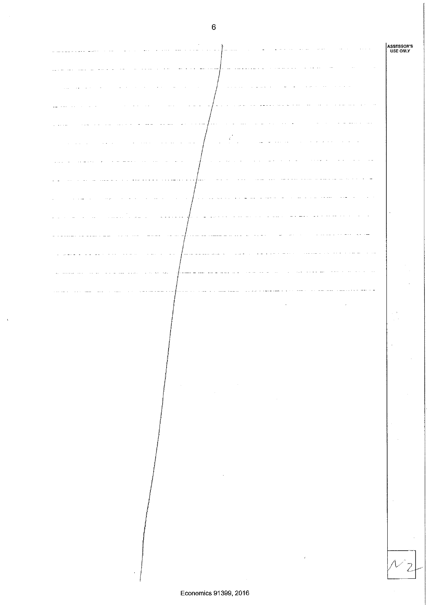| $\label{eq:1.1} \begin{array}{lllllllllllll} \hspace*{-0.1cm} & \text{and} & \hspace*{-0.1cm} \text{and} & \hspace*{-0.1cm} \text{and} & \hspace*{-0.1cm} \text{and} & \hspace*{-0.1cm} \text{and} & \hspace*{-0.1cm} \text{and} & \hspace*{-0.1cm} \text{and} & \hspace*{-0.1cm} \text{and} & \hspace*{-0.1cm} \text{and} & \hspace*{-0.1cm} \text{and} & \hspace*{-0.1cm} \text{and} & \hspace*{-0.1cm} \text{and} & \hspace*{-$<br>$\sim$ $^{-1}$ | ASSESSOR'S<br>USE ONLY            |
|------------------------------------------------------------------------------------------------------------------------------------------------------------------------------------------------------------------------------------------------------------------------------------------------------------------------------------------------------------------------------------------------------------------------------------------------------|-----------------------------------|
| $\sim$ 10 $\pm$<br>.<br>and a companies and a companies<br>$\sim$ .<br>$\sim$ $\sim$<br>$\ddotsc$<br>$\label{eq:1.1} \mathcal{L}_{\mathcal{N}}(\mathbf{x},\mathbf{z})=\mathcal{L}(\mathbf{x})$                                                                                                                                                                                                                                                       |                                   |
| $\mathbf{v} \rightarrow \mathbf{v}$<br>$\alpha$ , $\alpha$ , and $\alpha$ , $\alpha$<br>$\cdot$<br>$\sim$<br>$\mathbf{r} \in \mathcal{R}$<br>$\sim$ $\sim$<br>$\sim$ $\sigma$<br>$\sim 10^{-11}$                                                                                                                                                                                                                                                     |                                   |
| solutions of the<br>$\sim$ $\sim$<br>$\sim$ $\sim$<br>$\mathbf{w} = \mathbf{w} - \mathbf{w}$<br>$\sim$ $\sim$<br>$\sim$<br>$\sim$<br>$\sim$<br><b>College</b><br>$\sim$<br>$\sim$ $-$<br>$\sim$ $\sim$ $\sim$<br>$\sim$ $\sim$<br>$\sim$<br>$\sim$                                                                                                                                                                                                   |                                   |
| $\sim$ $\sim$<br>$\alpha$ and $\alpha$<br>$\sim$ $ \sim$<br>$\sim$ $\sim$ $\sim$<br>$\sim$<br>$\sim$<br>$\ldots$ .<br>$\sim$ $\sim$ $\sim$<br>$\cdots$<br>and a series<br>$\sim$ 100 $\sim$                                                                                                                                                                                                                                                          |                                   |
| $\zeta$<br>$\mathcal{L}$<br>$\sim$<br>$\alpha_{\rm{eff}}$ , $\alpha_{\rm{eff}}$<br>$\mathcal{L}^{\mathcal{A}}$ and $\mathcal{L}^{\mathcal{A}}$<br>$\sim$ $\sim$<br>المواردة الواردة<br>$\alpha$                                                                                                                                                                                                                                                      |                                   |
| and a strike<br>$\bullet$ .<br>$\sim$<br>$\mathbf{v}$ and $\mathbf{v}$                                                                                                                                                                                                                                                                                                                                                                               |                                   |
| <b>Barbara</b><br>$\cdots$<br>سترات<br>$\sim$ $\sim$                                                                                                                                                                                                                                                                                                                                                                                                 |                                   |
| $\sim$<br>ò.<br>$\sim$ $\sim$ $\sim$<br>$\sim 10^{-1}$ km<br>and the state<br>$\sim$<br>$\sim$<br>$\alpha \rightarrow -\infty$<br>$\sim$ $\sim$ $-$<br>$\sim$                                                                                                                                                                                                                                                                                        |                                   |
| and so and the<br>$\sim 100$<br>$\sim$ $\sim$ $\sim$<br>$\sim$ $\sim$<br>e se<br>$\overline{\phantom{a}}$<br>$\alpha$ , $\alpha$ , $\alpha$<br>$\sim$ $-$<br>$\sim$ 10 $\pm$<br>$\sim$<br>and a series of<br>$\sim 10^{-1}$ m s $^{-1}$<br>$\alpha_1$ , and $\alpha_2$ , and $\alpha_3$<br>$\sim$<br>$\alpha = 1$ and<br>$\sim$                                                                                                                      |                                   |
| a concern and the second<br>$\sim$ $\sim$ $\sim$<br>$\sim$ $-$<br>$\alpha$ , $\beta$ , $\alpha$<br>$\mathcal{A}_\mathrm{c}$ , $\mathcal{A}_\mathrm{c}$<br>والمتحدث ومحاملت<br>$\sim$ 100 $\sim$ 100 $\sim$<br>$\sim$ $\sim$<br>$\sim$<br>$\sim$ $\sim$<br>$\sim$ $\sim$<br>$\sim$ $-$<br>-----                                                                                                                                                       |                                   |
| $\sim$ $\sim$<br>المدالعة المحفاظ فالأقام فحاليتها<br>$\alpha$ , and $\alpha$<br>$\mathcal{L}^{\text{c}}$ and $\mathcal{L}^{\text{c}}$<br>$\Delta\Delta\approx 0.01$<br>$\mathbf{u} = \mathbf{u} \mathbf{u} + \mathbf{u} \mathbf{u}$<br>$\sim$                                                                                                                                                                                                       |                                   |
| $\omega$ , $\omega$ , $\omega$<br>$\sim$ $\sim$<br>$\sim$ $\sim$<br>المفقات السواديسة فالمراد<br>and an international<br>$\sim$ $\sim$<br>$\sim$<br>$\sim$ $\sim$<br><b>Section</b><br>$\sim 10$<br>$\sim$ $\sim$                                                                                                                                                                                                                                    | $\alpha$                          |
| and an inter-<br>مستردات<br>and and are                                                                                                                                                                                                                                                                                                                                                                                                              |                                   |
|                                                                                                                                                                                                                                                                                                                                                                                                                                                      | $\sim 10^{10}$<br>$\sim 10^{-10}$ |
|                                                                                                                                                                                                                                                                                                                                                                                                                                                      |                                   |
|                                                                                                                                                                                                                                                                                                                                                                                                                                                      | $\sim$                            |
|                                                                                                                                                                                                                                                                                                                                                                                                                                                      |                                   |
|                                                                                                                                                                                                                                                                                                                                                                                                                                                      |                                   |
|                                                                                                                                                                                                                                                                                                                                                                                                                                                      |                                   |
|                                                                                                                                                                                                                                                                                                                                                                                                                                                      |                                   |
|                                                                                                                                                                                                                                                                                                                                                                                                                                                      |                                   |
|                                                                                                                                                                                                                                                                                                                                                                                                                                                      |                                   |
|                                                                                                                                                                                                                                                                                                                                                                                                                                                      |                                   |
|                                                                                                                                                                                                                                                                                                                                                                                                                                                      |                                   |
|                                                                                                                                                                                                                                                                                                                                                                                                                                                      |                                   |
|                                                                                                                                                                                                                                                                                                                                                                                                                                                      |                                   |
|                                                                                                                                                                                                                                                                                                                                                                                                                                                      | Z                                 |
|                                                                                                                                                                                                                                                                                                                                                                                                                                                      |                                   |
| Economics 91399, 2016                                                                                                                                                                                                                                                                                                                                                                                                                                |                                   |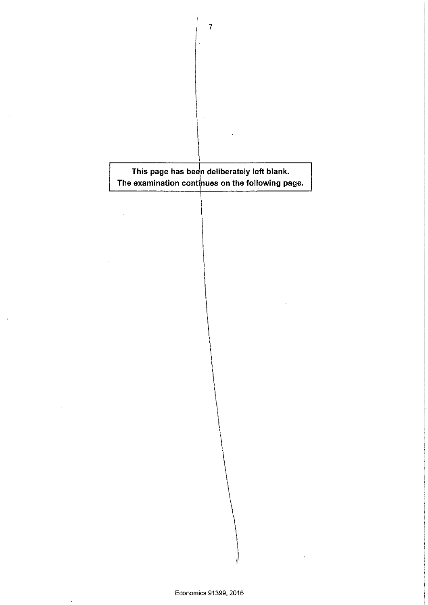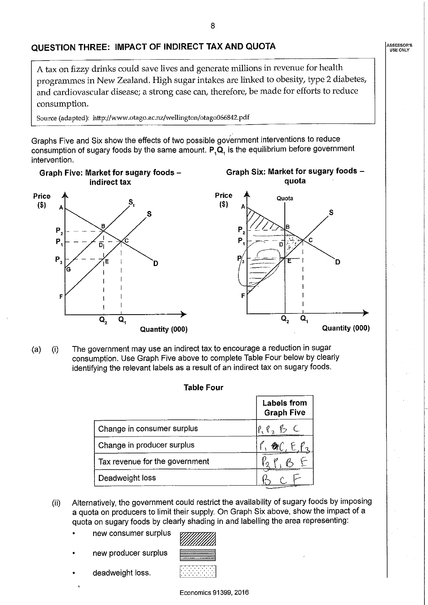### QUESTION THREE: IMPACT OF INDIRECT TAX AND QUOTA

A tax on fizzy drinks could save lives and generate millions in revenue for health programmes in New Zealand. High sugar intakes are linked to obesity, type 2 diabetes, and cardiovascular disease; a strong case can, therefore, be made for efforts to reduce consumption.

Source (adapted): http://www.otago.ac.nz/wellington/otago066842.pdf

Graphs Five and Six show the effects of two possible government interventions to reduce consumption of sugary foods by the same amount.  $P_{4}Q_{4}$  is the equilibrium before government intervention.

Graph Six: Market for sugary foods -

Graph Five: Market for sugary foods indirect tax



The government may use an indirect tax to encourage a reduction in sugar  $(i)$  $(a)$ consumption. Use Graph Five above to complete Table Four below by clearly identifying the relevant labels as a result of an indirect tax on sugary foods.

| .                              |                                         |
|--------------------------------|-----------------------------------------|
|                                | <b>Labels from</b><br><b>Graph Five</b> |
| Change in consumer surplus     |                                         |
| Change in producer surplus     |                                         |
| Tax revenue for the government | <b>Chairman Mary Company</b>            |
| Deadweight loss                |                                         |

**Table Four** 

- Alternatively, the government could restrict the availability of sugary foods by imposing  $(ii)$ a quota on producers to limit their supply. On Graph Six above, show the impact of a quota on sugary foods by clearly shading in and labelling the area representing:
	- new consumer surplus
	- new producer surplus
	- deadweight loss.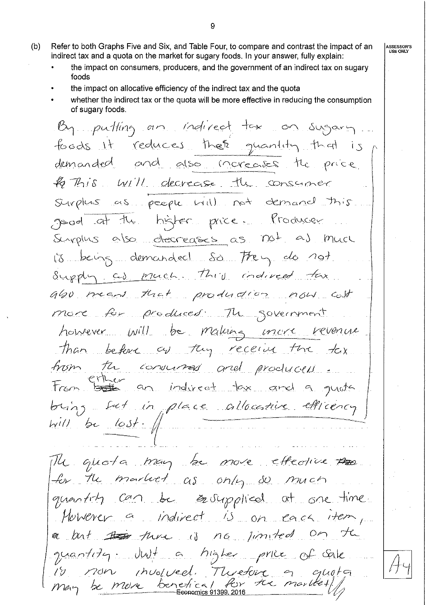- Refer to both Graphs Five and Six, and Table Four, to compare and contrast the impact of an  $(b)$ indirect tax and a quota on the market for sugary foods. In your answer, fully explain:
	- the impact on consumers, producers, and the government of an indirect tax on sugary foods
	- the impact on allocative efficiency of the indirect tax and the quota
	- whether the indirect tax or the quota will be more effective in reducing the consumption of sugary foods.

By putting an indirect tax on sugary foods it reduces there quantity that is demanded and also increases the price. fo This will decrease the consumer Surplus as peeple will not demand this. good at the higher price. Producer Symphus also decreases as not as much is being demanded so they do not Supply as much. They individ tax also means that production now cult more for produced. The sovernment homever will be making more revenue than before as they receive the tex hom the conventers and producess. From bother an indirect tax and a guota bring but in place allocative efficency  $will be lost.$ 

The quota may be more effective the for the market as only so much quantity can be exsupplied at one time. However a indirect is on each item, a but the three is no jimited on the quantity but a higher price of sale 17 nov involved. Thretoire on quota

ASSESSOR'S<br>USE ONLY